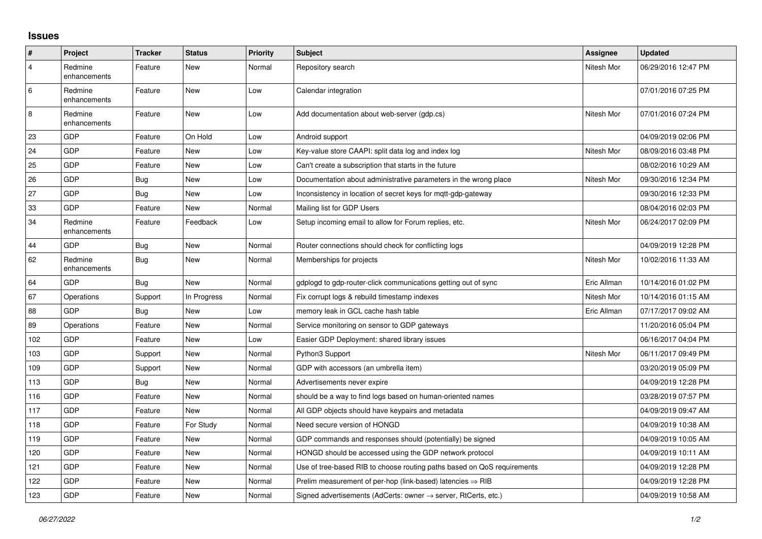## **Issues**

| #              | Project                 | <b>Tracker</b> | <b>Status</b> | <b>Priority</b> | <b>Subject</b>                                                             | Assignee    | <b>Updated</b>      |
|----------------|-------------------------|----------------|---------------|-----------------|----------------------------------------------------------------------------|-------------|---------------------|
| $\overline{4}$ | Redmine<br>enhancements | Feature        | <b>New</b>    | Normal          | Repository search                                                          | Nitesh Mor  | 06/29/2016 12:47 PM |
| 6              | Redmine<br>enhancements | Feature        | <b>New</b>    | Low             | Calendar integration                                                       |             | 07/01/2016 07:25 PM |
| $\,8\,$        | Redmine<br>enhancements | Feature        | <b>New</b>    | Low             | Add documentation about web-server (gdp.cs)                                | Nitesh Mor  | 07/01/2016 07:24 PM |
| 23             | GDP                     | Feature        | On Hold       | Low             | Android support                                                            |             | 04/09/2019 02:06 PM |
| 24             | GDP                     | Feature        | New           | Low             | Key-value store CAAPI: split data log and index log                        | Nitesh Mor  | 08/09/2016 03:48 PM |
| 25             | GDP                     | Feature        | <b>New</b>    | Low             | Can't create a subscription that starts in the future                      |             | 08/02/2016 10:29 AM |
| 26             | GDP                     | Bug            | <b>New</b>    | Low             | Documentation about administrative parameters in the wrong place           | Nitesh Mor  | 09/30/2016 12:34 PM |
| 27             | <b>GDP</b>              | Bug            | <b>New</b>    | Low             | Inconsistency in location of secret keys for mgtt-gdp-gateway              |             | 09/30/2016 12:33 PM |
| 33             | <b>GDP</b>              | Feature        | <b>New</b>    | Normal          | Mailing list for GDP Users                                                 |             | 08/04/2016 02:03 PM |
| 34             | Redmine<br>enhancements | Feature        | Feedback      | Low             | Setup incoming email to allow for Forum replies, etc.                      | Nitesh Mor  | 06/24/2017 02:09 PM |
| 44             | GDP                     | <b>Bug</b>     | <b>New</b>    | Normal          | Router connections should check for conflicting logs                       |             | 04/09/2019 12:28 PM |
| 62             | Redmine<br>enhancements | <b>Bug</b>     | <b>New</b>    | Normal          | Memberships for projects                                                   | Nitesh Mor  | 10/02/2016 11:33 AM |
| 64             | <b>GDP</b>              | Bug            | <b>New</b>    | Normal          | gdplogd to gdp-router-click communications getting out of sync             | Eric Allman | 10/14/2016 01:02 PM |
| 67             | Operations              | Support        | In Progress   | Normal          | Fix corrupt logs & rebuild timestamp indexes                               | Nitesh Mor  | 10/14/2016 01:15 AM |
| 88             | GDP                     | Bug            | <b>New</b>    | Low             | memory leak in GCL cache hash table                                        | Eric Allman | 07/17/2017 09:02 AM |
| 89             | Operations              | Feature        | <b>New</b>    | Normal          | Service monitoring on sensor to GDP gateways                               |             | 11/20/2016 05:04 PM |
| 102            | <b>GDP</b>              | Feature        | <b>New</b>    | Low             | Easier GDP Deployment: shared library issues                               |             | 06/16/2017 04:04 PM |
| 103            | GDP                     | Support        | <b>New</b>    | Normal          | Python3 Support                                                            | Nitesh Mor  | 06/11/2017 09:49 PM |
| 109            | GDP                     | Support        | <b>New</b>    | Normal          | GDP with accessors (an umbrella item)                                      |             | 03/20/2019 05:09 PM |
| 113            | <b>GDP</b>              | Bug            | <b>New</b>    | Normal          | Advertisements never expire                                                |             | 04/09/2019 12:28 PM |
| 116            | GDP                     | Feature        | <b>New</b>    | Normal          | should be a way to find logs based on human-oriented names                 |             | 03/28/2019 07:57 PM |
| 117            | GDP                     | Feature        | <b>New</b>    | Normal          | All GDP objects should have keypairs and metadata                          |             | 04/09/2019 09:47 AM |
| 118            | GDP                     | Feature        | For Study     | Normal          | Need secure version of HONGD                                               |             | 04/09/2019 10:38 AM |
| 119            | GDP                     | Feature        | <b>New</b>    | Normal          | GDP commands and responses should (potentially) be signed                  |             | 04/09/2019 10:05 AM |
| 120            | GDP                     | Feature        | New           | Normal          | HONGD should be accessed using the GDP network protocol                    |             | 04/09/2019 10:11 AM |
| 121            | GDP                     | Feature        | <b>New</b>    | Normal          | Use of tree-based RIB to choose routing paths based on QoS requirements    |             | 04/09/2019 12:28 PM |
| 122            | GDP                     | Feature        | <b>New</b>    | Normal          | Prelim measurement of per-hop (link-based) latencies $\Rightarrow$ RIB     |             | 04/09/2019 12:28 PM |
| 123            | GDP                     | Feature        | <b>New</b>    | Normal          | Signed advertisements (AdCerts: owner $\rightarrow$ server, RtCerts, etc.) |             | 04/09/2019 10:58 AM |